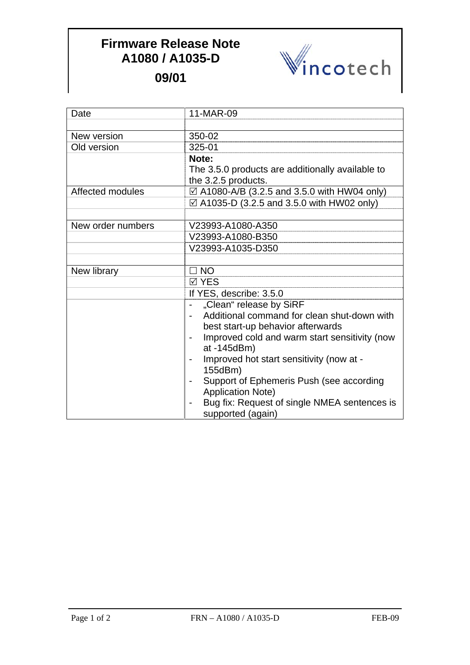## **Firmware Release Note A1080 / A1035-D 09/01**



Date 11-MAR-09 New version 350-02 Old version 325-01 **Note:** The 3.5.0 products are additionally available to the 3.2.5 products. Affected modules  $\Box$  A1080-A/B (3.2.5 and 3.5.0 with HW04 only)  $\boxtimes$  A1035-D (3.2.5 and 3.5.0 with HW02 only) New order numbers V23993-A1080-A350 V23993-A1080-B350 V23993-A1035-D350 New library  $\Box$  NO  $\overline{M}$  YFS If YES, describe: 3.5.0 - "Clean" release by SiRF - Additional command for clean shut-down with best start-up behavior afterwards - Improved cold and warm start sensitivity (now at -145dBm) - Improved hot start sensitivity (now at - 155dBm) - Support of Ephemeris Push (see according Application Note) - Bug fix: Request of single NMEA sentences is supported (again)